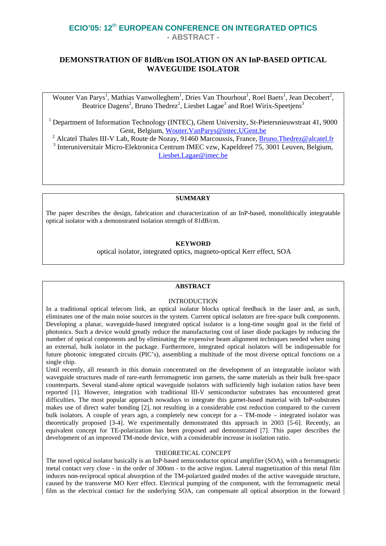# **ECIO'05: 12**th **EUROPEAN CONFERENCE ON INTEGRATED OPTICS - ABSTRACT -**

# **DEMONSTRATION OF 81dB/cm ISOLATION ON AN InP-BASED OPTICAL WAVEGUIDE ISOLATOR**

Wouter Van Parys<sup>1</sup>, Mathias Vanwolleghem<sup>1</sup>, Dries Van Thourhout<sup>1</sup>, Roel Baets<sup>1</sup>, Jean Decobert<sup>2</sup>, Beatrice Dagens<sup>2</sup>, Bruno Thedrez<sup>2</sup>, Liesbet Lagae<sup>3</sup> and Roel Wirix-Speetjens<sup>3</sup>

<sup>1</sup> Department of Information Technology (INTEC), Ghent University, St-Pietersnieuwstraat 41, 9000 Gent, Belgium, [Wouter.VanParys@intec.UGent.be](mailto:Wouter.VanParys@intec.UGent.be)

<sup>2</sup> Alcatel Thales III-V Lab, Route de Nozay, 91460 Marcoussis, France, <u>Bruno.Thedrez@alcatel.fr</u>  $\frac{3}{3}$  Internationalistic Micro, Elektronica Contrum IMEC way, Kapeldreef 75, 2001 Lewen, Belgium  $3$  Interuniversitair Micro-Elektronica Centrum IMEC vzw, Kapeldreef  $75,3001$  Leuven, Belgium, [Liesbet.Lagae@imec.be](mailto:Liesbet.Lagae@imec.be)

### **SUMMARY**

The paper describes the design, fabrication and characterization of an InP-based, monolithically integratable optical isolator with a demonstrated isolation strength of 81dB/cm.

# **KEYWORD**

optical isolator, integrated optics, magneto-optical Kerr effect, SOA

# **ABSTRACT**

## INTRODUCTION

In a traditional optical telecom link, an optical isolator blocks optical feedback in the laser and, as such, eliminates one of the main noise sources in the system. Current optical isolators are free-space bulk components. Developing a planar, waveguide-based integrated optical isolator is a long-time sought goal in the field of photonics. Such a device would greatly reduce the manufacturing cost of laser diode packages by reducing the number of optical components and by eliminating the expensive beam alignment techniques needed when using an external, bulk isolator in the package. Furthermore, integrated optical isolators will be indispensable for future photonic integrated circuits (PIC's), assembling a multitude of the most diverse optical functions on a single chip.

Until recently, all research in this domain concentrated on the development of an integratable isolator with waveguide structures made of rare-earth ferromagnetic iron garnets, the same materials as their bulk free-space counterparts. Several stand-alone optical waveguide isolators with sufficiently high isolation ratios have been reported [1]. However, integration with traditional III-V semiconductor substrates has encountered great difficulties. The most popular approach nowadays to integrate this garnet-based material with InP-substrates makes use of direct wafer bonding [2], not resulting in a considerable cost reduction compared to the current bulk isolators. A couple of years ago, a completely new concept for a – TM-mode – integrated isolator was theoretically proposed [3-4]. We experimentally demonstrated this approach in 2003 [5-6]. Recently, an equivalent concept for TE-polarization has been proposed and demonstrated [7]. This paper describes the development of an improved TM-mode device, with a considerable increase in isolation ratio.

## THEORETICAL CONCEPT

The novel optical isolator basically is an InP-based semiconductor optical amplifier (SOA), with a ferromagnetic metal contact very close - in the order of 300nm - to the active region. Lateral magnetization of this metal film induces non-reciprocal optical absorption of the TM-polarized guided modes of the active waveguide structure, caused by the transverse MO Kerr effect. Electrical pumping of the component, with the ferromagnetic metal film as the electrical contact for the underlying SOA, can compensate all optical absorption in the forward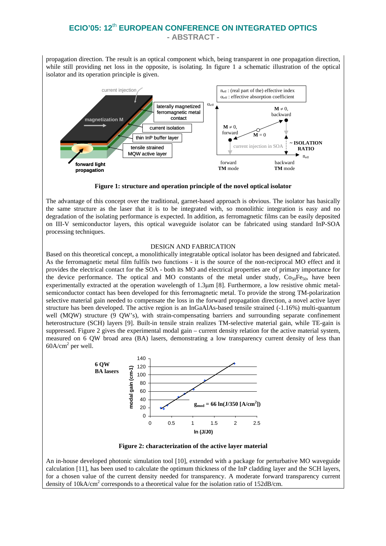# **ECIO'05: 12**th **EUROPEAN CONFERENCE ON INTEGRATED OPTICS - ABSTRACT -**

propagation direction. The result is an optical component which, being transparent in one propagation direction, while still providing net loss in the opposite, is isolating. In figure 1 a schematic illustration of the optical isolator and its operation principle is given.



**Figure 1: structure and operation principle of the novel optical isolator**

The advantage of this concept over the traditional, garnet-based approach is obvious. The isolator has basically the same structure as the laser that it is to be integrated with, so monolithic integration is easy and no degradation of the isolating performance is expected. In addition, as ferromagnetic films can be easily deposited on III-V semiconductor layers, this optical waveguide isolator can be fabricated using standard InP-SOA processing techniques.

#### DESIGN AND FABRICATION

Based on this theoretical concept, a monolithically integratable optical isolator has been designed and fabricated. As the ferromagnetic metal film fulfils two functions - it is the source of the non-reciprocal MO effect and it provides the electrical contact for the SOA - both its MO and electrical properties are of primary importance for the device performance. The optical and MO constants of the metal under study,  $Co<sub>50</sub>Fe<sub>50</sub>$ , have been experimentally extracted at the operation wavelength of 1.3µm [8]. Furthermore, a low resistive ohmic metalsemiconductor contact has been developed for this ferromagnetic metal. To provide the strong TM-polarization selective material gain needed to compensate the loss in the forward propagation direction, a novel active layer structure has been developed. The active region is an InGaAlAs-based tensile strained (-1.16%) multi-quantum well (MQW) structure (9 QW's), with strain-compensating barriers and surrounding separate confinement heterostructure (SCH) layers [9]. Built-in tensile strain realizes TM-selective material gain, while TE-gain is suppressed. Figure 2 gives the experimental modal gain – current density relation for the active material system, measured on 6 QW broad area (BA) lasers, demonstrating a low transparency current density of less than  $60A/cm<sup>2</sup>$  per well.



**Figure 2: characterization of the active layer material**

An in-house developed photonic simulation tool [10], extended with a package for perturbative MO waveguide calculation [11], has been used to calculate the optimum thickness of the InP cladding layer and the SCH layers, for a chosen value of the current density needed for transparency. A moderate forward transparency current density of 10kA/cm<sup>2</sup> corresponds to a theoretical value for the isolation ratio of 152dB/cm.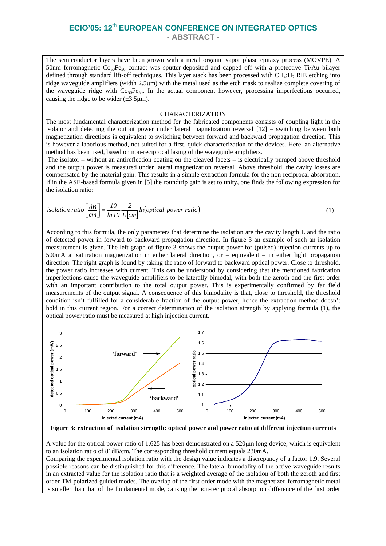The semiconductor layers have been grown with a metal organic vapor phase epitaxy process (MOVPE). A 50nm ferromagnetic  $Co_{50}Fe_{50}$  contact was sputter-deposited and capped off with a protective Ti/Au bilayer defined through standard lift-off techniques. This layer stack has been processed with  $CH_4:H_2$  RIE etching into ridge waveguide amplifiers (width 2.5µm) with the metal used as the etch mask to realize complete covering of the waveguide ridge with  $\cos_0$  Fe<sub>50</sub>. In the actual component however, processing imperfections occurred, causing the ridge to be wider  $(\pm 3.5 \mu m)$ .

#### CHARACTERIZATION

The most fundamental characterization method for the fabricated components consists of coupling light in the isolator and detecting the output power under lateral magnetization reversal [12] – switching between both magnetization directions is equivalent to switching between forward and backward propagation direction. This is however a laborious method, not suited for a first, quick characterization of the devices. Here, an alternative method has been used, based on non-reciprocal lasing of the waveguide amplifiers.

The isolator – without an antireflection coating on the cleaved facets – is electrically pumped above threshold and the output power is measured under lateral magnetization reversal. Above threshold, the cavity losses are compensated by the material gain. This results in a simple extraction formula for the non-reciprocal absorption. If in the ASE-based formula given in [5] the roundtrip gain is set to unity, one finds the following expression for the isolation ratio:

isolation ratio 
$$
\left[\frac{dB}{cm}\right] = \frac{10}{\ln 10} \frac{2}{L \left[cm\right]} ln\left(\text{optical power ratio}\right)
$$
 (1)

According to this formula, the only parameters that determine the isolation are the cavity length L and the ratio of detected power in forward to backward propagation direction. In figure 3 an example of such an isolation measurement is given. The left graph of figure 3 shows the output power for (pulsed) injection currents up to 500mA at saturation magnetization in either lateral direction, or – equivalent – in either light propagation direction. The right graph is found by taking the ratio of forward to backward optical power. Close to threshold, the power ratio increases with current. This can be understood by considering that the mentioned fabrication imperfections cause the waveguide amplifiers to be laterally bimodal, with both the zeroth and the first order with an important contribution to the total output power. This is experimentally confirmed by far field measurements of the output signal. A consequence of this bimodality is that, close to threshold, the threshold condition isn't fulfilled for a considerable fraction of the output power, hence the extraction method doesn't hold in this current region. For a correct determination of the isolation strength by applying formula (1), the optical power ratio must be measured at high injection current.



**Figure 3: extraction of isolation strength: optical power and power ratio at different injection currents** 

A value for the optical power ratio of 1.625 has been demonstrated on a 520µm long device, which is equivalent to an isolation ratio of 81dB/cm. The corresponding threshold current equals 230mA.

Comparing the experimental isolation ratio with the design value indicates a discrepancy of a factor 1.9. Several possible reasons can be distinguished for this difference. The lateral bimodality of the active waveguide results in an extracted value for the isolation ratio that is a weighted average of the isolation of both the zeroth and first order TM-polarized guided modes. The overlap of the first order mode with the magnetized ferromagnetic metal is smaller than that of the fundamental mode, causing the non-reciprocal absorption difference of the first order